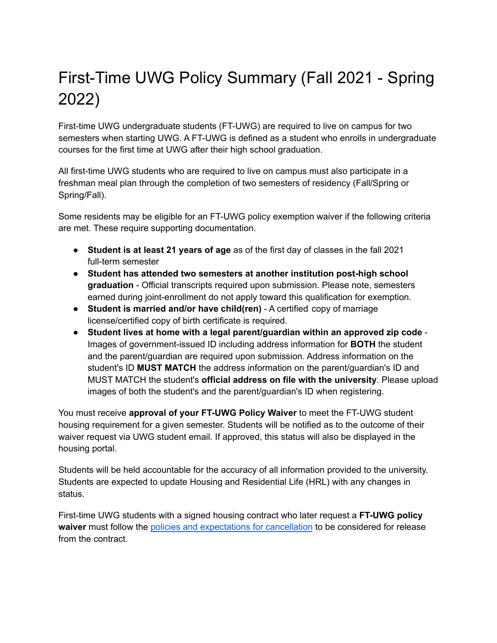## First-Time UWG Policy Summary (Fall 2021 - Spring 2022)

First-time UWG undergraduate students (FT-UWG) are required to live on campus for two semesters when starting UWG. A FT-UWG is defined as a student who enrolls in undergraduate courses for the first time at UWG after their high school graduation.

All first-time UWG students who are required to live on campus must also participate in a freshman meal plan through the completion of two semesters of residency (Fall/Spring or Spring/Fall).

Some residents may be eligible for an FT-UWG policy exemption waiver if the following criteria are met. These require supporting documentation.

- **Student is at least 21 years of age** as of the first day of classes in the fall 2021 full-term semester
- **Student has attended two semesters at another institution post-high school graduation** - Official transcripts required upon submission. Please note, semesters earned during joint-enrollment do not apply toward this qualification for exemption.
- **Student is married and/or have child(ren)** A certified copy of marriage license/certified copy of birth certificate is required.
- **Student lives at home with a legal parent/guardian within an approved zip code** Images of government-issued ID including address information for **BOTH** the student and the parent/guardian are required upon submission. Address information on the student's ID **MUST MATCH** the address information on the parent/guardian's ID and MUST MATCH the student's **official address on file with the university**. Please upload images of both the student's and the parent/guardian's ID when registering.

You must receive **approval of your FT-UWG Policy Waiver** to meet the FT-UWG student housing requirement for a given semester. Students will be notified as to the outcome of their waiver request via UWG student email. If approved, this status will also be displayed in the housing portal.

Students will be held accountable for the accuracy of all information provided to the university. Students are expected to update Housing and Residential Life (HRL) with any changes in status.

First-time UWG students with a signed housing contract who later request a **FT-UWG policy waiver** must follow the policies and [expectations](https://www.westga.edu/campus-life/housing/cancellation-policies-and-procedures.php) for cancellation to be considered for release from the contract.